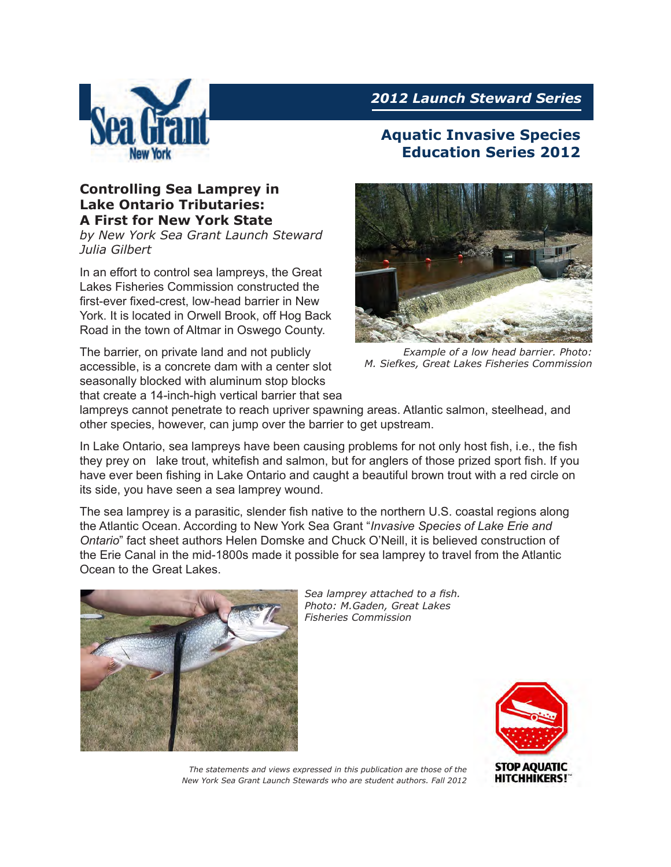

## **Controlling Sea Lamprey in Lake Ontario Tributaries: A First for New York State**

*by New York Sea Grant Launch Steward Julia Gilbert*

In an effort to control sea lampreys, the Great Lakes Fisheries Commission constructed the first-ever fixed-crest, low-head barrier in New York. It is located in Orwell Brook, off Hog Back Road in the town of Altmar in Oswego County.

The barrier, on private land and not publicly accessible, is a concrete dam with a center slot seasonally blocked with aluminum stop blocks that create a 14-inch-high vertical barrier that sea

# *2012 Launch Steward Series*

## **Aquatic Invasive Species Education Series 2012**



*Example of a low head barrier. Photo: M. Siefkes, Great Lakes Fisheries Commission*

lampreys cannot penetrate to reach upriver spawning areas. Atlantic salmon, steelhead, and other species, however, can jump over the barrier to get upstream.

In Lake Ontario, sea lampreys have been causing problems for not only host fish, i.e., the fish they prey on lake trout, whitefish and salmon, but for anglers of those prized sport fish. If you have ever been fishing in Lake Ontario and caught a beautiful brown trout with a red circle on its side, you have seen a sea lamprey wound.

The sea lamprey is a parasitic, slender fish native to the northern U.S. coastal regions along the Atlantic Ocean. According to New York Sea Grant "*Invasive Species of Lake Erie and Ontario*" fact sheet authors Helen Domske and Chuck O'Neill, it is believed construction of the Erie Canal in the mid-1800s made it possible for sea lamprey to travel from the Atlantic Ocean to the Great Lakes.



*Sea lamprey attached to a fish. Photo: M.Gaden, Great Lakes Fisheries Commission*



*The statements and views expressed in this publication are those of the New York Sea Grant Launch Stewards who are student authors. Fall 2012*